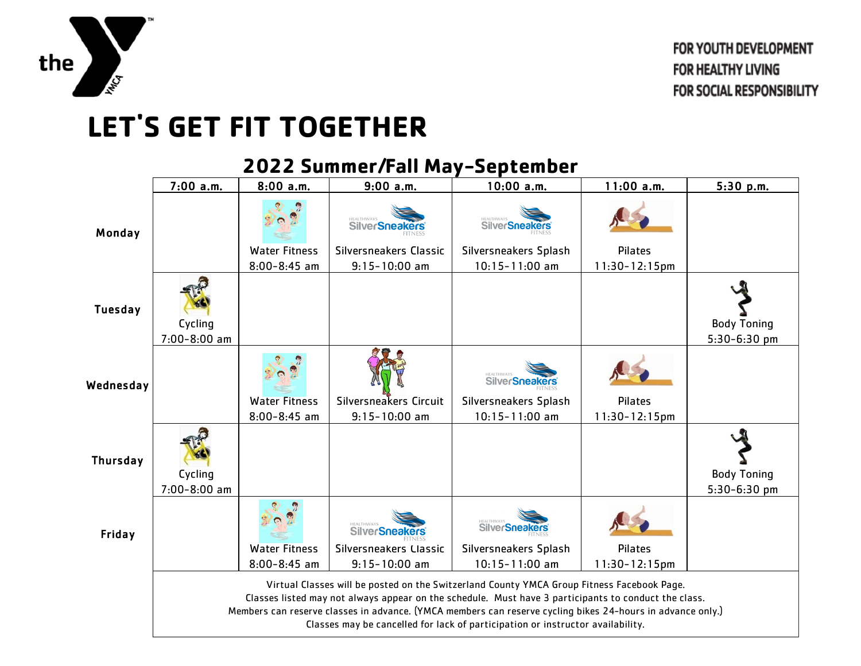

## **LET'S GET FIT TOGETHER**

## 7:00 a.m. | 8:00 a.m. | 9:00 a.m. | 10:00 a.m. | 11:00 a.m. | 5:30 p.m. **SilverSneakers SilverSneakers** Monday Water Fitness Silversneakers Classic Silversneakers Splash Pilates 8:00-8:45 am 9:15-10:00 am 10:15-11:00 am 11:30-12:15pm Tuesday Body Toning Cycling 7:00-8:00 am 5:30-6:30 pm SilverSneakers Wednesday Water Fitness Silversneakers Circuit Silversneakers Splash Pilates 9:15-10:00 am 11:30-12:15pm 8:00-8:45 am 10:15-11:00 am Thursday Cycling Body Toning 7:00-8:00 am 5:30-6:30 pm **SilverSneakers SilverSneakers** Friday Water Fitness Silversneakers Classic Silversneakers Splash Pilates 8:00-8:45 am 9:15-10:00 am 10:15-11:00 am 11:30-12:15pm Virtual Classes will be posted on the Switzerland County YMCA Group Fitness Facebook Page. Classes listed may not always appear on the schedule. Must have 3 participants to conduct the class. Members can reserve classes in advance. (YMCA members can reserve cycling bikes 24-hours in advance only.) Classes may be cancelled for lack of participation or instructor availability.

## **2022 Summer/Fall May-September**